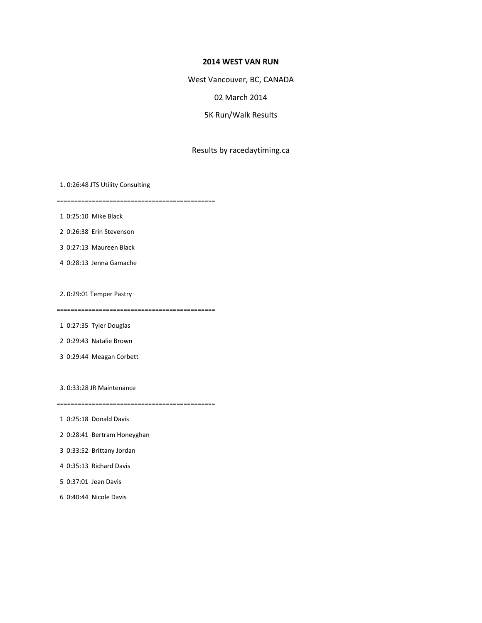## **2014 WEST VAN RUN**

West Vancouver, BC, CANADA

## 02 March 2014

5K Run/Walk Results

## Results by racedaytiming.ca

1. 0:26:48 JTS Utility Consulting

=============================================

1 0:25:10 Mike Black

2 0:26:38 Erin Stevenson

3 0:27:13 Maureen Black

4 0:28:13 Jenna Gamache

2. 0:29:01 Temper Pastry

=============================================

1 0:27:35 Tyler Douglas

2 0:29:43 Natalie Brown

3 0:29:44 Meagan Corbett

3. 0:33:28 JR Maintenance

=============================================

1 0:25:18 Donald Davis

- 2 0:28:41 Bertram Honeyghan
- 3 0:33:52 Brittany Jordan
- 4 0:35:13 Richard Davis
- 5 0:37:01 Jean Davis
- 6 0:40:44 Nicole Davis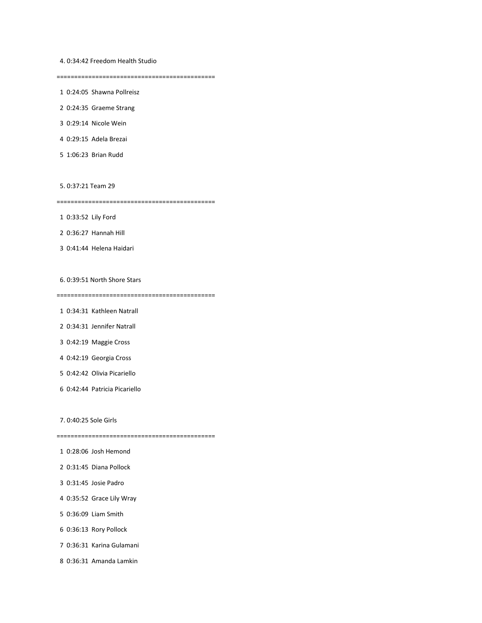4. 0:34:42 Freedom Health Studio

=============================================

1 0:24:05 Shawna Pollreisz

2 0:24:35 Graeme Strang

3 0:29:14 Nicole Wein

4 0:29:15 Adela Brezai

5 1:06:23 Brian Rudd

5. 0:37:21 Team 29

=============================================

1 0:33:52 Lily Ford

2 0:36:27 Hannah Hill

3 0:41:44 Helena Haidari

6. 0:39:51 North Shore Stars

=============================================

- 1 0:34:31 Kathleen Natrall
- 2 0:34:31 Jennifer Natrall
- 3 0:42:19 Maggie Cross
- 4 0:42:19 Georgia Cross
- 5 0:42:42 Olivia Picariello
- 6 0:42:44 Patricia Picariello

7. 0:40:25 Sole Girls

=============================================

- 1 0:28:06 Josh Hemond
- 2 0:31:45 Diana Pollock
- 3 0:31:45 Josie Padro
- 4 0:35:52 Grace Lily Wray
- 5 0:36:09 Liam Smith
- 6 0:36:13 Rory Pollock
- 7 0:36:31 Karina Gulamani
- 8 0:36:31 Amanda Lamkin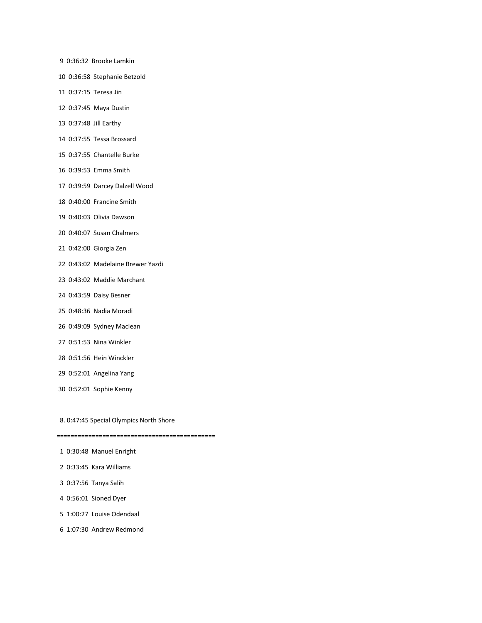- 9 0:36:32 Brooke Lamkin
- 10 0:36:58 Stephanie Betzold
- 11 0:37:15 Teresa Jin
- 12 0:37:45 Maya Dustin
- 13 0:37:48 Jill Earthy
- 14 0:37:55 Tessa Brossard
- 15 0:37:55 Chantelle Burke
- 16 0:39:53 Emma Smith
- 17 0:39:59 Darcey Dalzell Wood
- 18 0:40:00 Francine Smith
- 19 0:40:03 Olivia Dawson
- 20 0:40:07 Susan Chalmers
- 21 0:42:00 Giorgia Zen
- 22 0:43:02 Madelaine Brewer Yazdi
- 23 0:43:02 Maddie Marchant
- 24 0:43:59 Daisy Besner
- 25 0:48:36 Nadia Moradi
- 26 0:49:09 Sydney Maclean
- 27 0:51:53 Nina Winkler
- 28 0:51:56 Hein Winckler
- 29 0:52:01 Angelina Yang
- 30 0:52:01 Sophie Kenny

8. 0:47:45 Special Olympics North Shore

=============================================

- 1 0:30:48 Manuel Enright
- 2 0:33:45 Kara Williams
- 3 0:37:56 Tanya Salih
- 4 0:56:01 Sioned Dyer
- 5 1:00:27 Louise Odendaal
- 6 1:07:30 Andrew Redmond